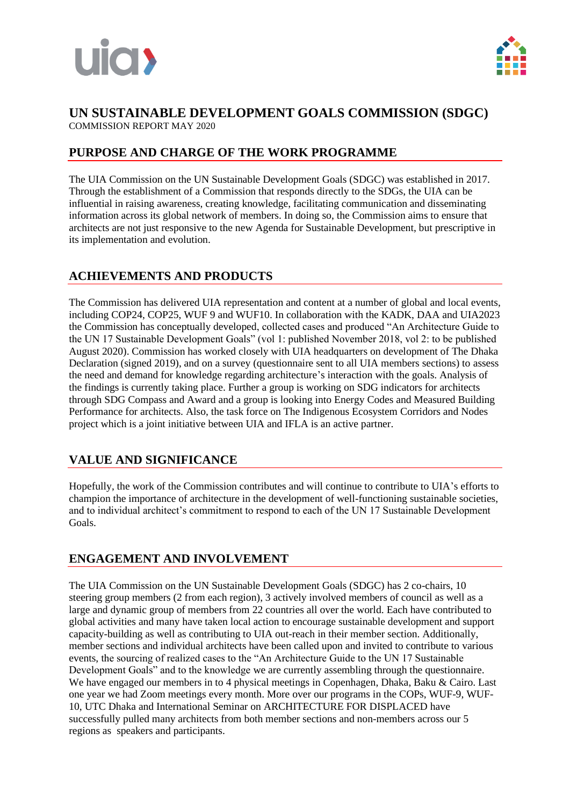



#### **UN SUSTAINABLE DEVELOPMENT GOALS COMMISSION (SDGC)** COMMISSION REPORT MAY 2020

#### **PURPOSE AND CHARGE OF THE WORK PROGRAMME**

The UIA Commission on the UN Sustainable Development Goals (SDGC) was established in 2017. Through the establishment of a Commission that responds directly to the SDGs, the UIA can be influential in raising awareness, creating knowledge, facilitating communication and disseminating information across its global network of members. In doing so, the Commission aims to ensure that architects are not just responsive to the new Agenda for Sustainable Development, but prescriptive in its implementation and evolution.

#### **ACHIEVEMENTS AND PRODUCTS**

The Commission has delivered UIA representation and content at a number of global and local events, including COP24, COP25, WUF 9 and WUF10. In collaboration with the KADK, DAA and UIA2023 the Commission has conceptually developed, collected cases and produced "An Architecture Guide to the UN 17 Sustainable Development Goals" (vol 1: published November 2018, vol 2: to be published August 2020). Commission has worked closely with UIA headquarters on development of The Dhaka Declaration (signed 2019), and on a survey (questionnaire sent to all UIA members sections) to assess the need and demand for knowledge regarding architecture's interaction with the goals. Analysis of the findings is currently taking place. Further a group is working on SDG indicators for architects through SDG Compass and Award and a group is looking into Energy Codes and Measured Building Performance for architects. Also, the task force on The Indigenous Ecosystem Corridors and Nodes project which is a joint initiative between UIA and IFLA is an active partner.

## **VALUE AND SIGNIFICANCE**

Hopefully, the work of the Commission contributes and will continue to contribute to UIA's efforts to champion the importance of architecture in the development of well-functioning sustainable societies, and to individual architect's commitment to respond to each of the UN 17 Sustainable Development Goals.

## **ENGAGEMENT AND INVOLVEMENT**

The UIA Commission on the UN Sustainable Development Goals (SDGC) has 2 co-chairs, 10 steering group members (2 from each region), 3 actively involved members of council as well as a large and dynamic group of members from 22 countries all over the world. Each have contributed to global activities and many have taken local action to encourage sustainable development and support capacity-building as well as contributing to UIA out-reach in their member section. Additionally, member sections and individual architects have been called upon and invited to contribute to various events, the sourcing of realized cases to the "An Architecture Guide to the UN 17 Sustainable Development Goals" and to the knowledge we are currently assembling through the questionnaire. We have engaged our members in to 4 physical meetings in Copenhagen, Dhaka, Baku & Cairo. Last one year we had Zoom meetings every month. More over our programs in the COPs, WUF-9, WUF-10, UTC Dhaka and International Seminar on ARCHITECTURE FOR DISPLACED have successfully pulled many architects from both member sections and non-members across our 5 regions as speakers and participants.